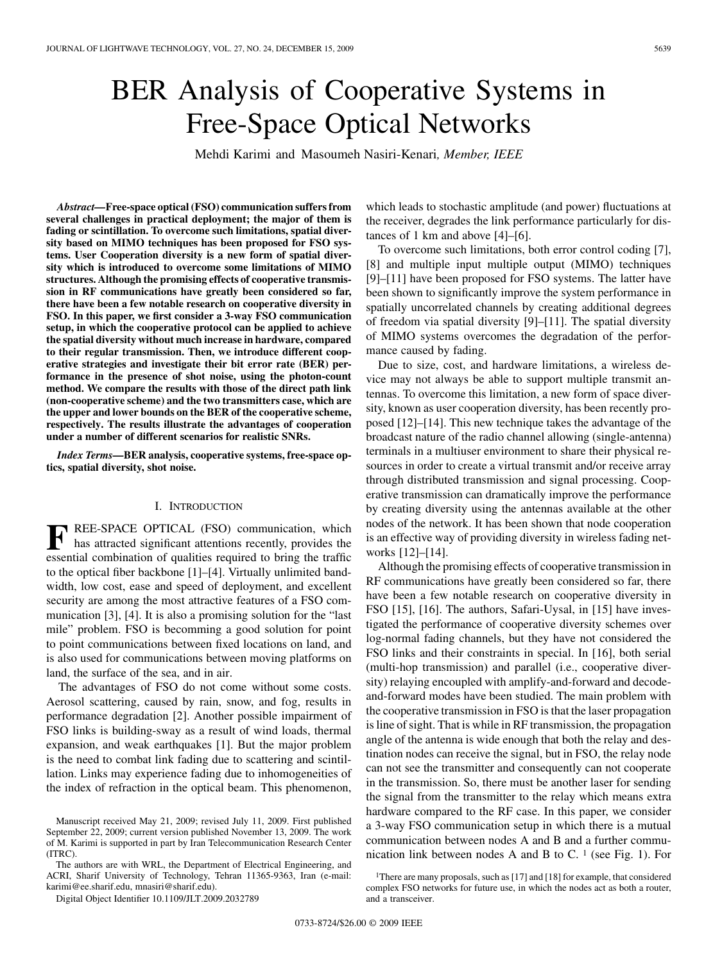# BER Analysis of Cooperative Systems in Free-Space Optical Networks

Mehdi Karimi and Masoumeh Nasiri-Kenari*, Member, IEEE*

*Abstract—***Free-space optical (FSO) communication suffers from several challenges in practical deployment; the major of them is fading or scintillation. To overcome such limitations, spatial diversity based on MIMO techniques has been proposed for FSO systems. User Cooperation diversity is a new form of spatial diversity which is introduced to overcome some limitations of MIMO structures. Although the promising effects of cooperative transmission in RF communications have greatly been considered so far, there have been a few notable research on cooperative diversity in FSO. In this paper, we first consider a 3-way FSO communication setup, in which the cooperative protocol can be applied to achieve the spatial diversity without much increase in hardware, compared to their regular transmission. Then, we introduce different cooperative strategies and investigate their bit error rate (BER) performance in the presence of shot noise, using the photon-count method. We compare the results with those of the direct path link (non-cooperative scheme) and the two transmitters case, which are the upper and lower bounds on the BER of the cooperative scheme, respectively. The results illustrate the advantages of cooperation under a number of different scenarios for realistic SNRs.**

*Index Terms—***BER analysis, cooperative systems, free-space optics, spatial diversity, shot noise.**

## I. INTRODUCTION

**F** REE-SPACE OPTICAL (FSO) communication, which has attracted significant attentions recently, provides the secondial combination of qualities required to bring the traffice essential combination of qualities required to bring the traffic to the optical fiber backbone [1]–[4]. Virtually unlimited bandwidth, low cost, ease and speed of deployment, and excellent security are among the most attractive features of a FSO communication [3], [4]. It is also a promising solution for the "last mile" problem. FSO is becomming a good solution for point to point communications between fixed locations on land, and is also used for communications between moving platforms on land, the surface of the sea, and in air.

The advantages of FSO do not come without some costs. Aerosol scattering, caused by rain, snow, and fog, results in performance degradation [2]. Another possible impairment of FSO links is building-sway as a result of wind loads, thermal expansion, and weak earthquakes [1]. But the major problem is the need to combat link fading due to scattering and scintillation. Links may experience fading due to inhomogeneities of the index of refraction in the optical beam. This phenomenon,

The authors are with WRL, the Department of Electrical Engineering, and ACRI, Sharif University of Technology, Tehran 11365-9363, Iran (e-mail: karimi@ee.sharif.edu, mnasiri@sharif.edu).

Digital Object Identifier 10.1109/JLT.2009.2032789

which leads to stochastic amplitude (and power) fluctuations at the receiver, degrades the link performance particularly for distances of 1 km and above [4]–[6].

To overcome such limitations, both error control coding [7], [8] and multiple input multiple output (MIMO) techniques [9]–[11] have been proposed for FSO systems. The latter have been shown to significantly improve the system performance in spatially uncorrelated channels by creating additional degrees of freedom via spatial diversity [9]–[11]. The spatial diversity of MIMO systems overcomes the degradation of the performance caused by fading.

Due to size, cost, and hardware limitations, a wireless device may not always be able to support multiple transmit antennas. To overcome this limitation, a new form of space diversity, known as user cooperation diversity, has been recently proposed [12]–[14]. This new technique takes the advantage of the broadcast nature of the radio channel allowing (single-antenna) terminals in a multiuser environment to share their physical resources in order to create a virtual transmit and/or receive array through distributed transmission and signal processing. Cooperative transmission can dramatically improve the performance by creating diversity using the antennas available at the other nodes of the network. It has been shown that node cooperation is an effective way of providing diversity in wireless fading networks [12]–[14].

Although the promising effects of cooperative transmission in RF communications have greatly been considered so far, there have been a few notable research on cooperative diversity in FSO [15], [16]. The authors, Safari-Uysal, in [15] have investigated the performance of cooperative diversity schemes over log-normal fading channels, but they have not considered the FSO links and their constraints in special. In [16], both serial (multi-hop transmission) and parallel (i.e., cooperative diversity) relaying encoupled with amplify-and-forward and decodeand-forward modes have been studied. The main problem with the cooperative transmission in FSO is that the laser propagation is line of sight. That is while in RF transmission, the propagation angle of the antenna is wide enough that both the relay and destination nodes can receive the signal, but in FSO, the relay node can not see the transmitter and consequently can not cooperate in the transmission. So, there must be another laser for sending the signal from the transmitter to the relay which means extra hardware compared to the RF case. In this paper, we consider a 3-way FSO communication setup in which there is a mutual communication between nodes A and B and a further communication link between nodes A and B to C.  $<sup>1</sup>$  (see Fig. 1). For</sup>

Manuscript received May 21, 2009; revised July 11, 2009. First published September 22, 2009; current version published November 13, 2009. The work of M. Karimi is supported in part by Iran Telecommunication Research Center (ITRC).

<sup>&</sup>lt;sup>1</sup>There are many proposals, such as [17] and [18] for example, that considered complex FSO networks for future use, in which the nodes act as both a router, and a transceiver.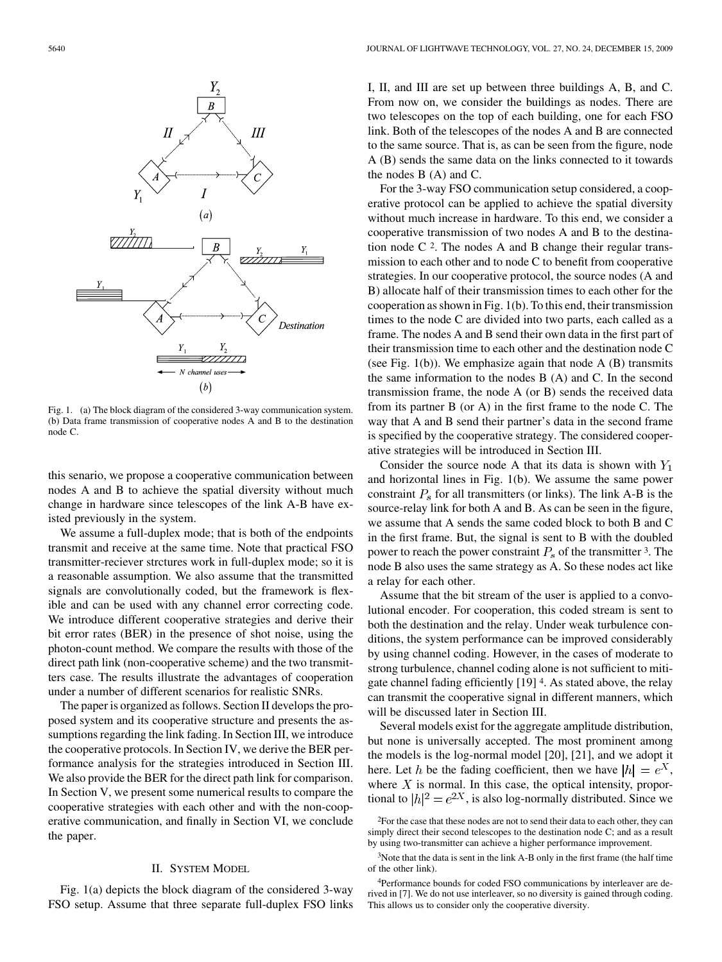

Fig. 1. (a) The block diagram of the considered 3-way communication system. (b) Data frame transmission of cooperative nodes A and B to the destination node C.

this senario, we propose a cooperative communication between nodes A and B to achieve the spatial diversity without much change in hardware since telescopes of the link A-B have existed previously in the system.

We assume a full-duplex mode; that is both of the endpoints transmit and receive at the same time. Note that practical FSO transmitter-reciever strctures work in full-duplex mode; so it is a reasonable assumption. We also assume that the transmitted signals are convolutionally coded, but the framework is flexible and can be used with any channel error correcting code. We introduce different cooperative strategies and derive their bit error rates (BER) in the presence of shot noise, using the photon-count method. We compare the results with those of the direct path link (non-cooperative scheme) and the two transmitters case. The results illustrate the advantages of cooperation under a number of different scenarios for realistic SNRs.

The paper is organized as follows. Section II develops the proposed system and its cooperative structure and presents the assumptions regarding the link fading. In Section III, we introduce the cooperative protocols. In Section IV, we derive the BER performance analysis for the strategies introduced in Section III. We also provide the BER for the direct path link for comparison. In Section V, we present some numerical results to compare the cooperative strategies with each other and with the non-cooperative communication, and finally in Section VI, we conclude the paper.

# II. SYSTEM MODEL

Fig. 1(a) depicts the block diagram of the considered 3-way FSO setup. Assume that three separate full-duplex FSO links I, II, and III are set up between three buildings A, B, and C. From now on, we consider the buildings as nodes. There are two telescopes on the top of each building, one for each FSO link. Both of the telescopes of the nodes A and B are connected to the same source. That is, as can be seen from the figure, node A (B) sends the same data on the links connected to it towards the nodes B (A) and C.

For the 3-way FSO communication setup considered, a cooperative protocol can be applied to achieve the spatial diversity without much increase in hardware. To this end, we consider a cooperative transmission of two nodes A and B to the destination node  $C<sup>2</sup>$ . The nodes A and B change their regular transmission to each other and to node C to benefit from cooperative strategies. In our cooperative protocol, the source nodes (A and B) allocate half of their transmission times to each other for the cooperation as shown in Fig. 1(b). To this end, their transmission times to the node C are divided into two parts, each called as a frame. The nodes A and B send their own data in the first part of their transmission time to each other and the destination node C (see Fig.  $1(b)$ ). We emphasize again that node A  $(B)$  transmits the same information to the nodes B (A) and C. In the second transmission frame, the node A (or B) sends the received data from its partner B (or A) in the first frame to the node C. The way that A and B send their partner's data in the second frame is specified by the cooperative strategy. The considered cooperative strategies will be introduced in Section III.

Consider the source node A that its data is shown with  $Y_1$ and horizontal lines in Fig. 1(b). We assume the same power constraint  $P_s$  for all transmitters (or links). The link A-B is the source-relay link for both A and B. As can be seen in the figure, we assume that A sends the same coded block to both B and C in the first frame. But, the signal is sent to B with the doubled power to reach the power constraint  $P_s$  of the transmitter 3. The node B also uses the same strategy as A. So these nodes act like a relay for each other.

Assume that the bit stream of the user is applied to a convolutional encoder. For cooperation, this coded stream is sent to both the destination and the relay. Under weak turbulence conditions, the system performance can be improved considerably by using channel coding. However, in the cases of moderate to strong turbulence, channel coding alone is not sufficient to mitigate channel fading efficiently [19] 4. As stated above, the relay can transmit the cooperative signal in different manners, which will be discussed later in Section III.

Several models exist for the aggregate amplitude distribution, but none is universally accepted. The most prominent among the models is the log-normal model [20], [21], and we adopt it here. Let h be the fading coefficient, then we have  $|h| = e^X$ , where  $X$  is normal. In this case, the optical intensity, proportional to  $|h|^2 = e^{2X}$ , is also log-normally distributed. Since we

<sup>2</sup>For the case that these nodes are not to send their data to each other, they can simply direct their second telescopes to the destination node C; and as a result by using two-transmitter can achieve a higher performance improvement.

<sup>3</sup>Note that the data is sent in the link A-B only in the first frame (the half time of the other link).

<sup>4</sup>Performance bounds for coded FSO communications by interleaver are derived in [7]. We do not use interleaver, so no diversity is gained through coding. This allows us to consider only the cooperative diversity.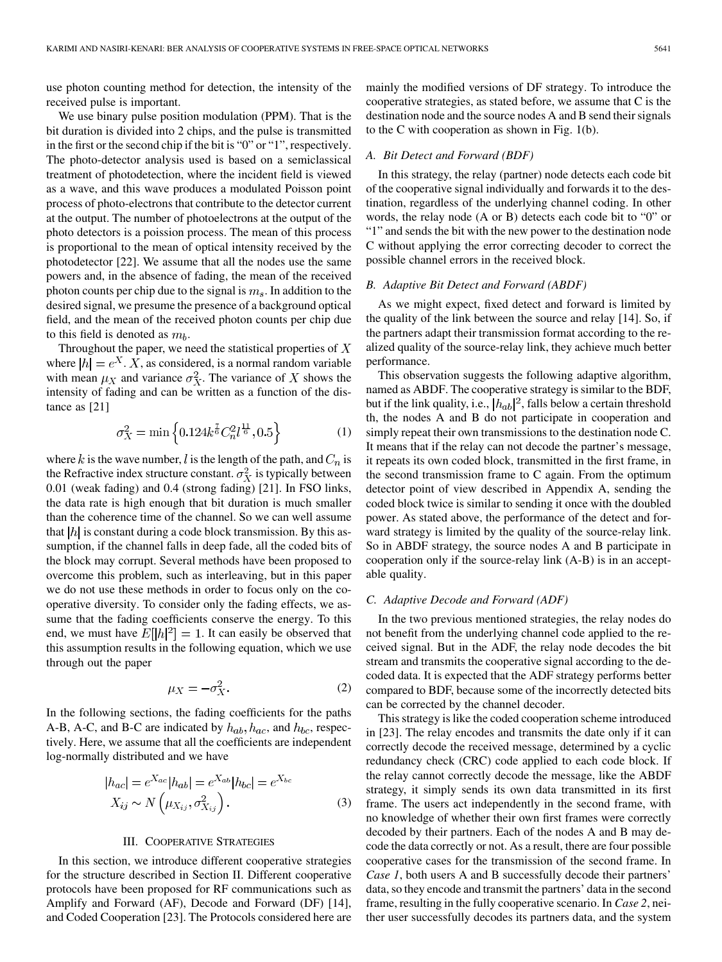use photon counting method for detection, the intensity of the received pulse is important.

We use binary pulse position modulation (PPM). That is the bit duration is divided into 2 chips, and the pulse is transmitted in the first or the second chip if the bit is "0" or "1", respectively. The photo-detector analysis used is based on a semiclassical treatment of photodetection, where the incident field is viewed as a wave, and this wave produces a modulated Poisson point process of photo-electrons that contribute to the detector current at the output. The number of photoelectrons at the output of the photo detectors is a poission process. The mean of this process is proportional to the mean of optical intensity received by the photodetector [22]. We assume that all the nodes use the same powers and, in the absence of fading, the mean of the received photon counts per chip due to the signal is  $m_s$ . In addition to the desired signal, we presume the presence of a background optical field, and the mean of the received photon counts per chip due to this field is denoted as  $m_b$ .

Throughout the paper, we need the statistical properties of  $X$ where  $|h| = e^X$ . X, as considered, is a normal random variable with mean  $\mu_X$  and variance  $\sigma_X^2$ . The variance of X shows the intensity of fading and can be written as a function of the distance as [21]

$$
\sigma_X^2 = \min\left\{0.124k^{\frac{7}{6}}C_n^2 l^{\frac{11}{6}}, 0.5\right\} \tag{1}
$$

where k is the wave number, l is the length of the path, and  $C_n$  is the Refractive index structure constant.  $\sigma_X^2$  is typically between 0.01 (weak fading) and 0.4 (strong fading) [21]. In FSO links, the data rate is high enough that bit duration is much smaller than the coherence time of the channel. So we can well assume that  $|h|$  is constant during a code block transmission. By this assumption, if the channel falls in deep fade, all the coded bits of the block may corrupt. Several methods have been proposed to overcome this problem, such as interleaving, but in this paper we do not use these methods in order to focus only on the cooperative diversity. To consider only the fading effects, we assume that the fading coefficients conserve the energy. To this end, we must have  $E[|h|^2] = 1$ . It can easily be observed that this assumption results in the following equation, which we use through out the paper

$$
\mu_X = -\sigma_X^2. \tag{2}
$$

In the following sections, the fading coefficients for the paths A-B, A-C, and B-C are indicated by  $h_{ab}$ ,  $h_{ac}$ , and  $h_{bc}$ , respectively. Here, we assume that all the coefficients are independent log-normally distributed and we have

$$
|h_{ac}| = e^{X_{ac}}|h_{ab}| = e^{X_{ab}}|h_{bc}| = e^{X_{bc}}
$$
  

$$
X_{ij} \sim N\left(\mu_{X_{ij}}, \sigma_{X_{ij}}^2\right).
$$
 (3)

## III. COOPERATIVE STRATEGIES

In this section, we introduce different cooperative strategies for the structure described in Section II. Different cooperative protocols have been proposed for RF communications such as Amplify and Forward (AF), Decode and Forward (DF) [14], and Coded Cooperation [23]. The Protocols considered here are

mainly the modified versions of DF strategy. To introduce the cooperative strategies, as stated before, we assume that C is the destination node and the source nodes A and B send their signals to the C with cooperation as shown in Fig. 1(b).

### *A. Bit Detect and Forward (BDF)*

In this strategy, the relay (partner) node detects each code bit of the cooperative signal individually and forwards it to the destination, regardless of the underlying channel coding. In other words, the relay node (A or B) detects each code bit to "0" or "1" and sends the bit with the new power to the destination node C without applying the error correcting decoder to correct the possible channel errors in the received block.

### *B. Adaptive Bit Detect and Forward (ABDF)*

As we might expect, fixed detect and forward is limited by the quality of the link between the source and relay [14]. So, if the partners adapt their transmission format according to the realized quality of the source-relay link, they achieve much better performance.

This observation suggests the following adaptive algorithm, named as ABDF. The cooperative strategy is similar to the BDF, but if the link quality, i.e.,  $|h_{ab}|^2$ , falls below a certain threshold th, the nodes A and B do not participate in cooperation and simply repeat their own transmissions to the destination node C. It means that if the relay can not decode the partner's message, it repeats its own coded block, transmitted in the first frame, in the second transmission frame to C again. From the optimum detector point of view described in Appendix A, sending the coded block twice is similar to sending it once with the doubled power. As stated above, the performance of the detect and forward strategy is limited by the quality of the source-relay link. So in ABDF strategy, the source nodes A and B participate in cooperation only if the source-relay link (A-B) is in an acceptable quality.

## *C. Adaptive Decode and Forward (ADF)*

In the two previous mentioned strategies, the relay nodes do not benefit from the underlying channel code applied to the received signal. But in the ADF, the relay node decodes the bit stream and transmits the cooperative signal according to the decoded data. It is expected that the ADF strategy performs better compared to BDF, because some of the incorrectly detected bits can be corrected by the channel decoder.

This strategy is like the coded cooperation scheme introduced in [23]. The relay encodes and transmits the date only if it can correctly decode the received message, determined by a cyclic redundancy check (CRC) code applied to each code block. If the relay cannot correctly decode the message, like the ABDF strategy, it simply sends its own data transmitted in its first frame. The users act independently in the second frame, with no knowledge of whether their own first frames were correctly decoded by their partners. Each of the nodes A and B may decode the data correctly or not. As a result, there are four possible cooperative cases for the transmission of the second frame. In *Case 1*, both users A and B successfully decode their partners' data, so they encode and transmit the partners' data in the second frame, resulting in the fully cooperative scenario. In *Case 2*, neither user successfully decodes its partners data, and the system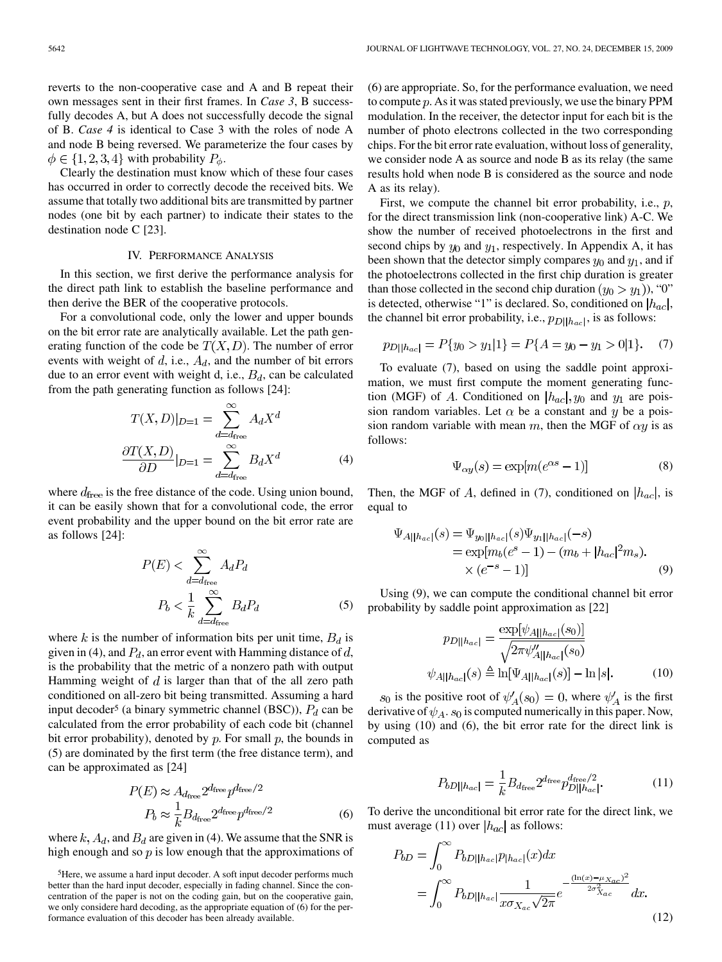reverts to the non-cooperative case and A and B repeat their own messages sent in their first frames. In *Case 3*, B successfully decodes A, but A does not successfully decode the signal of B. *Case 4* is identical to Case 3 with the roles of node A and node B being reversed. We parameterize the four cases by  $\phi \in \{1, 2, 3, 4\}$  with probability  $P_{\phi}$ .

Clearly the destination must know which of these four cases has occurred in order to correctly decode the received bits. We assume that totally two additional bits are transmitted by partner nodes (one bit by each partner) to indicate their states to the destination node C [23].

### IV. PERFORMANCE ANALYSIS

In this section, we first derive the performance analysis for the direct path link to establish the baseline performance and then derive the BER of the cooperative protocols.

For a convolutional code, only the lower and upper bounds on the bit error rate are analytically available. Let the path generating function of the code be  $T(X, D)$ . The number of error events with weight of  $d$ , i.e.,  $A_d$ , and the number of bit errors due to an error event with weight d, i.e.,  $B_d$ , can be calculated from the path generating function as follows [24]:

$$
T(X, D)|_{D=1} = \sum_{d=d_{\text{free}}}^{\infty} A_d X^d
$$

$$
\frac{\partial T(X, D)}{\partial D}|_{D=1} = \sum_{d=d_{\text{free}}}^{\infty} B_d X^d
$$
(4)

where  $d_{\text{free}}$  is the free distance of the code. Using union bound, it can be easily shown that for a convolutional code, the error event probability and the upper bound on the bit error rate are as follows [24]:

$$
P(E) < \sum_{d=d_{\text{free}}}^{\infty} A_d P_d
$$
\n
$$
P_b < \frac{1}{k} \sum_{d=d_{\text{free}}}^{\infty} B_d P_d \tag{5}
$$

where k is the number of information bits per unit time,  $B_d$  is given in (4), and  $P_d$ , an error event with Hamming distance of d, is the probability that the metric of a nonzero path with output Hamming weight of  $d$  is larger than that of the all zero path conditioned on all-zero bit being transmitted. Assuming a hard input decoder<sup>5</sup> (a binary symmetric channel (BSC)),  $P_d$  can be calculated from the error probability of each code bit (channel bit error probability), denoted by  $p$ . For small  $p$ , the bounds in (5) are dominated by the first term (the free distance term), and can be approximated as [24]

$$
P(E) \approx A_{d_{\text{free}}} 2^{d_{\text{free}}} p^{d_{\text{free}}/2}
$$

$$
P_b \approx \frac{1}{k} B_{d_{\text{free}}} 2^{d_{\text{free}}} p^{d_{\text{free}}/2}
$$
(6)

where  $k$ ,  $A_d$ , and  $B_d$  are given in (4). We assume that the SNR is high enough and so  $\hat{p}$  is low enough that the approximations of (6) are appropriate. So, for the performance evaluation, we need to compute  $p$ . As it was stated previously, we use the binary PPM modulation. In the receiver, the detector input for each bit is the number of photo electrons collected in the two corresponding chips. For the bit error rate evaluation, without loss of generality, we consider node A as source and node B as its relay (the same results hold when node B is considered as the source and node A as its relay).

First, we compute the channel bit error probability, i.e.,  $p$ , for the direct transmission link (non-cooperative link) A-C. We show the number of received photoelectrons in the first and second chips by  $y_0$  and  $y_1$ , respectively. In Appendix A, it has been shown that the detector simply compares  $y_0$  and  $y_1$ , and if the photoelectrons collected in the first chip duration is greater than those collected in the second chip duration  $(y_0 > y_1)$ , "0" is detected, otherwise "1" is declared. So, conditioned on  $|h_{ac}|$ , the channel bit error probability, i.e.,  $p_{D||h_{ac}|}$ , is as follows:

$$
p_{D||h_{ac}|} = P\{y_0 > y_1|1\} = P\{A = y_0 - y_1 > 0|1\}.
$$
 (7)

To evaluate (7), based on using the saddle point approximation, we must first compute the moment generating function (MGF) of A. Conditioned on  $|h_{ac}|$ ,  $y_0$  and  $y_1$  are poission random variables. Let  $\alpha$  be a constant and y be a poission random variable with mean m, then the MGF of  $\alpha y$  is as follows:

$$
\Psi_{\alpha y}(s) = \exp[m(e^{\alpha s} - 1)]\tag{8}
$$

Then, the MGF of A, defined in (7), conditioned on  $|h_{ac}|$ , is equal to

$$
\Psi_{A||h_{ac}|}(s) = \Psi_{y_0||h_{ac}|}(s)\Psi_{y_1||h_{ac}|}(-s)
$$
  
=  $\exp[m_b(e^s - 1) - (m_b + |h_{ac}|^2 m_s).$   
×  $(e^{-s} - 1)$ ] (9)

Using (9), we can compute the conditional channel bit error probability by saddle point approximation as [22]

$$
p_{D||h_{ac}|} = \frac{\exp[\psi_{A||h_{ac}|}(s_0)]}{\sqrt{2\pi\psi_{A||h_{ac}|}''(s_0)}}
$$

$$
\psi_{A||h_{ac}|}(s) \triangleq \ln[\Psi_{A||h_{ac}|}(s)] - \ln|s|.
$$
(10)

 $s_0$  is the positive root of  $\psi'_A(s_0) = 0$ , where  $\psi'_A$  is the first derivative of  $\psi_A$ .  $s_0$  is computed numerically in this paper. Now, by using (10) and (6), the bit error rate for the direct link is computed as

$$
P_{bD||h_{ac}|} = \frac{1}{k} B_{d_{\text{free}}} 2^{d_{\text{free}}} p_{D||h_{ac}|}^{d_{\text{free}}/2}.
$$
 (11)

To derive the unconditional bit error rate for the direct link, we must average (11) over  $|h_{ac}|$  as follows:

$$
P_{bD} = \int_0^\infty P_{bD||h_{ac}|} p_{|h_{ac}|}(x) dx
$$
  
= 
$$
\int_0^\infty P_{bD||h_{ac}|} \frac{1}{x \sigma_{X_{ac}} \sqrt{2\pi}} e^{-\frac{(\ln(x) - \mu_{X_{ac}})^2}{2\sigma_{X_{ac}}^2}} dx.
$$
 (12)

<sup>5</sup>Here, we assume a hard input decoder. A soft input decoder performs much better than the hard input decoder, especially in fading channel. Since the concentration of the paper is not on the coding gain, but on the cooperative gain, we only considere hard decoding, as the appropriate equation of (6) for the performance evaluation of this decoder has been already available.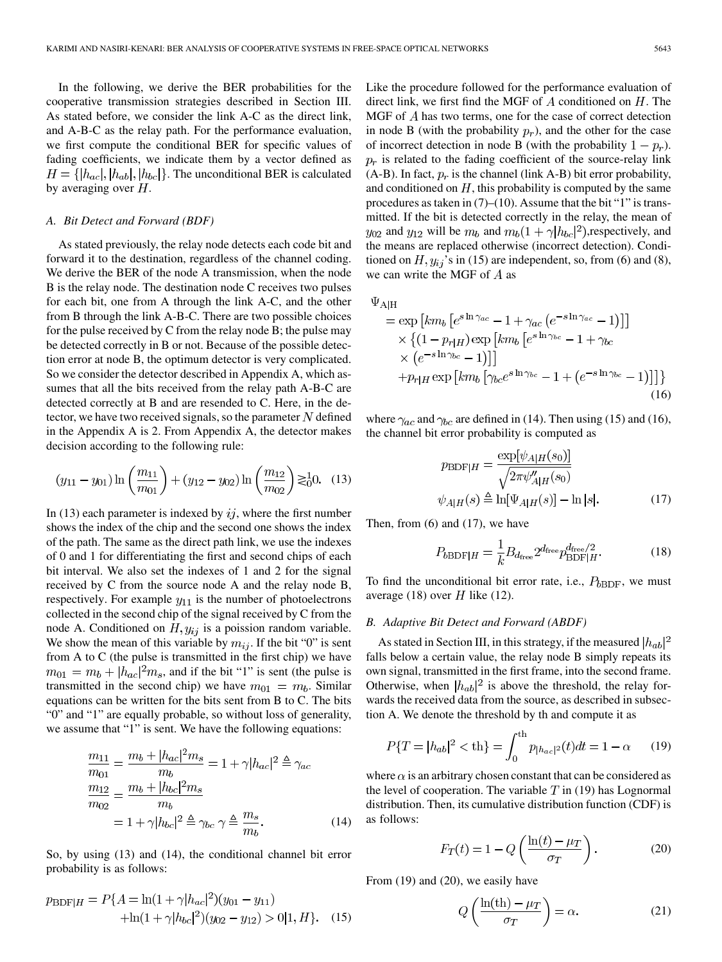In the following, we derive the BER probabilities for the cooperative transmission strategies described in Section III. As stated before, we consider the link A-C as the direct link, and A-B-C as the relay path. For the performance evaluation, we first compute the conditional BER for specific values of fading coefficients, we indicate them by a vector defined as  $H = \{ |h_{ac}|, |h_{ab}|, |h_{bc}| \}$ . The unconditional BER is calculated by averaging over  $H$ .

### *A. Bit Detect and Forward (BDF)*

As stated previously, the relay node detects each code bit and forward it to the destination, regardless of the channel coding. We derive the BER of the node A transmission, when the node B is the relay node. The destination node C receives two pulses for each bit, one from A through the link A-C, and the other from B through the link A-B-C. There are two possible choices for the pulse received by C from the relay node B; the pulse may be detected correctly in B or not. Because of the possible detection error at node B, the optimum detector is very complicated. So we consider the detector described in Appendix A, which assumes that all the bits received from the relay path A-B-C are detected correctly at B and are resended to C. Here, in the detector, we have two received signals, so the parameter  $N$  defined in the Appendix A is 2. From Appendix A, the detector makes decision according to the following rule:

$$
(y_{11} - y_{01}) \ln \left(\frac{m_{11}}{m_{01}}\right) + (y_{12} - y_{02}) \ln \left(\frac{m_{12}}{m_{02}}\right) \gtrsim_0^1 0. \quad (13)
$$

In (13) each parameter is indexed by  $ij$ , where the first number shows the index of the chip and the second one shows the index of the path. The same as the direct path link, we use the indexes of 0 and 1 for differentiating the first and second chips of each bit interval. We also set the indexes of 1 and 2 for the signal received by C from the source node A and the relay node B, respectively. For example  $y_{11}$  is the number of photoelectrons collected in the second chip of the signal received by C from the node A. Conditioned on  $H, y_{ij}$  is a poission random variable. We show the mean of this variable by  $m_{ij}$ . If the bit "0" is sent from A to C (the pulse is transmitted in the first chip) we have  $m_{01} = m_b + |h_{ac}|^2 m_s$ , and if the bit "1" is sent (the pulse is transmitted in the second chip) we have  $m_{01} = m_b$ . Similar equations can be written for the bits sent from B to C. The bits "0" and "1" are equally probable, so without loss of generality, we assume that "1" is sent. We have the following equations:

$$
\frac{m_{11}}{m_{01}} = \frac{m_b + |h_{ac}|^2 m_s}{m_b} = 1 + \gamma |h_{ac}|^2 \triangleq \gamma_{ac}
$$
\n
$$
\frac{m_{12}}{m_{02}} = \frac{m_b + |h_{bc}|^2 m_s}{m_b}
$$
\n
$$
= 1 + \gamma |h_{bc}|^2 \triangleq \gamma_{bc} \gamma \triangleq \frac{m_s}{m_b}.
$$
\n(14)

So, by using (13) and (14), the conditional channel bit error probability is as follows:

$$
p_{\text{BDF}|H} = P\{A = \ln(1 + \gamma |h_{ac}|^2)(y_{01} - y_{11}) + \ln(1 + \gamma |h_{bc}|^2)(y_{02} - y_{12}) > 0|1, H\}.
$$
 (15)

Like the procedure followed for the performance evaluation of direct link, we first find the MGF of  $A$  conditioned on  $H$ . The MGF of  $A$  has two terms, one for the case of correct detection in node B (with the probability  $p_r$ ), and the other for the case of incorrect detection in node B (with the probability  $1 - p_r$ ).  $p_r$  is related to the fading coefficient of the source-relay link (A-B). In fact,  $p_r$  is the channel (link A-B) bit error probability, and conditioned on  $H$ , this probability is computed by the same procedures as taken in  $(7)$ – $(10)$ . Assume that the bit "1" is transmitted. If the bit is detected correctly in the relay, the mean of  $y_{02}$  and  $y_{12}$  will be  $m_b$  and  $m_b(1+\gamma|h_{bc}|^2)$ , respectively, and the means are replaced otherwise (incorrect detection). Conditioned on  $H$ ,  $y_{ij}$ 's in (15) are independent, so, from (6) and (8), we can write the MGF of  $A$  as

 $\Psi_{\rm AlH}$ 

$$
= \exp\left[km_b\left[e^{s\ln\gamma_{ac}} - 1 + \gamma_{ac}\left(e^{-s\ln\gamma_{ac}} - 1\right)\right]\right]
$$

$$
\times \left\{(1 - p_{r|H})\exp\left[km_b\left[e^{s\ln\gamma_{bc}} - 1 + \gamma_{bc}\right]\right]\right\}
$$

$$
\times \left(e^{-s\ln\gamma_{bc}} - 1\right)\right]\right\}
$$

$$
+ p_{r|H} \exp\left[km_b\left[\gamma_{bc}e^{s\ln\gamma_{bc}} - 1 + \left(e^{-s\ln\gamma_{bc}} - 1\right)\right]\right\}
$$
(16)

where  $\gamma_{ac}$  and  $\gamma_{bc}$  are defined in (14). Then using (15) and (16), the channel bit error probability is computed as

$$
p_{\text{BDF}|H} = \frac{\exp[\psi_{A|H}(s_0)]}{\sqrt{2\pi\psi_{A|H}''(s_0)}}
$$

$$
\psi_{A|H}(s) \triangleq \ln[\Psi_{A|H}(s)] - \ln|s|.
$$
 (17)

Then, from (6) and (17), we have

$$
P_{b\text{BDF}|H} = \frac{1}{k} B_{d_{\text{free}}} 2^{d_{\text{free}}} p_{\text{BDF}|H}^{d_{\text{free}}/2}.
$$
 (18)

To find the unconditional bit error rate, i.e.,  $P_{b\text{BDF}}$ , we must average (18) over  $H$  like (12).

## *B. Adaptive Bit Detect and Forward (ABDF)*

As stated in Section III, in this strategy, if the measured  $|h_{ab}|^2$ falls below a certain value, the relay node B simply repeats its own signal, transmitted in the first frame, into the second frame. Otherwise, when  $|h_{ab}|^2$  is above the threshold, the relay forwards the received data from the source, as described in subsection A. We denote the threshold by th and compute it as

$$
P\{T = |h_{ab}|^2 < \text{th}\} = \int_0^{\text{th}} p_{|h_{ac}|^2}(t)dt = 1 - \alpha \qquad (19)
$$

where  $\alpha$  is an arbitrary chosen constant that can be considered as the level of cooperation. The variable  $T$  in (19) has Lognormal distribution. Then, its cumulative distribution function (CDF) is as follows:

$$
F_T(t) = 1 - Q\left(\frac{\ln(t) - \mu_T}{\sigma_T}\right). \tag{20}
$$

From (19) and (20), we easily have

$$
Q\left(\frac{\ln(\text{th}) - \mu_T}{\sigma_T}\right) = \alpha.
$$
 (21)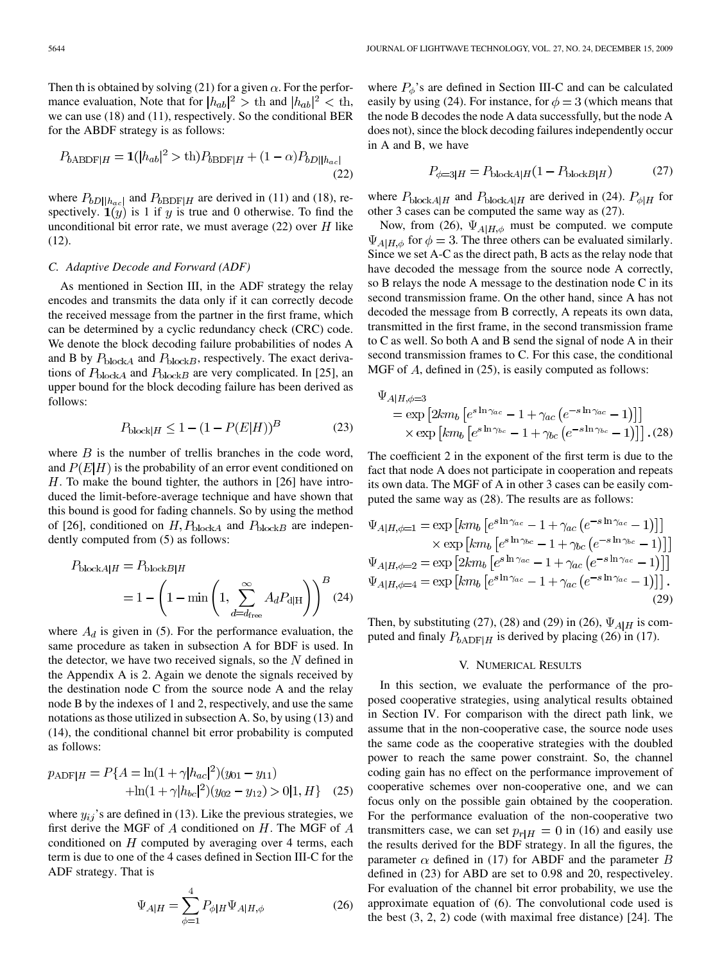Then th is obtained by solving (21) for a given  $\alpha$ . For the performance evaluation, Note that for  $|h_{ab}|^2 > \text{th}$  and  $|h_{ab}|^2 < \text{th}$ , we can use (18) and (11), respectively. So the conditional BER for the ABDF strategy is as follows:

$$
P_{b\text{ABDF}|H} = \mathbf{1}(|h_{ab}|^2 > \text{th})P_{b\text{BDF}|H} + (1 - \alpha)P_{bD||h_{ac}|}
$$
\n(22)

where  $P_{bD||h_{ac}|}$  and  $P_{bBDF|H}$  are derived in (11) and (18), respectively.  $\mathbf{1}(y)$  is 1 if y is true and 0 otherwise. To find the unconditional bit error rate, we must average  $(22)$  over H like (12).

# *C. Adaptive Decode and Forward (ADF)*

As mentioned in Section III, in the ADF strategy the relay encodes and transmits the data only if it can correctly decode the received message from the partner in the first frame, which can be determined by a cyclic redundancy check (CRC) code. We denote the block decoding failure probabilities of nodes A and B by  $P_{\text{block}A}$  and  $P_{\text{block}B}$ , respectively. The exact derivations of  $P_{\text{block}A}$  and  $P_{\text{block}B}$  are very complicated. In [25], an upper bound for the block decoding failure has been derived as follows:

$$
P_{\text{block}|H} \le 1 - (1 - P(E|H))^B \tag{23}
$$

where  $B$  is the number of trellis branches in the code word, and  $P(E|H)$  is the probability of an error event conditioned on  $H$ . To make the bound tighter, the authors in [26] have introduced the limit-before-average technique and have shown that this bound is good for fading channels. So by using the method of [26], conditioned on  $H, P_{\text{block}A}$  and  $P_{\text{block}B}$  are independently computed from (5) as follows:

$$
P_{\text{block}A|H} = P_{\text{block}B|H}
$$
  
= 1 - \left(1 - \min\left(1, \sum\_{d=d\_{\text{free}}}^{\infty} A\_d P\_{\text{d}|H}\right)\right)^B (24)

where  $A_d$  is given in (5). For the performance evaluation, the same procedure as taken in subsection A for BDF is used. In the detector, we have two received signals, so the  $N$  defined in the Appendix A is 2. Again we denote the signals received by the destination node C from the source node A and the relay node B by the indexes of 1 and 2, respectively, and use the same notations as those utilized in subsection A. So, by using (13) and (14), the conditional channel bit error probability is computed as follows:

$$
p_{\text{ADF}|H} = P\{A = \ln(1 + \gamma |h_{ac}|^2)(y_{01} - y_{11}) + \ln(1 + \gamma |h_{bc}|^2)(y_{02} - y_{12}) > 0|1, H\}
$$
 (25)

where  $y_{ij}$ 's are defined in (13). Like the previous strategies, we first derive the MGF of  $A$  conditioned on  $H$ . The MGF of  $A$ conditioned on  $H$  computed by averaging over 4 terms, each term is due to one of the 4 cases defined in Section III-C for the ADF strategy. That is

$$
\Psi_{A|H} = \sum_{\phi=1}^{4} P_{\phi|H} \Psi_{A|H,\phi}
$$
 (26)

where  $P_{\phi}$ 's are defined in Section III-C and can be calculated easily by using (24). For instance, for  $\phi = 3$  (which means that the node B decodes the node A data successfully, but the node A does not), since the block decoding failures independently occur in A and B, we have

$$
P_{\phi=3|H} = P_{\text{block}A|H} (1 - P_{\text{block}B|H}) \tag{27}
$$

where  $P_{\text{block}A|H}$  and  $P_{\text{block}A|H}$  are derived in (24).  $P_{\phi|H}$  for other 3 cases can be computed the same way as (27).

Now, from (26),  $\Psi_{A|H,\phi}$  must be computed. we compute  $\Psi_{A|H,\phi}$  for  $\phi = 3$ . The three others can be evaluated similarly. Since we set A-C as the direct path, B acts as the relay node that have decoded the message from the source node A correctly, so B relays the node A message to the destination node C in its second transmission frame. On the other hand, since A has not decoded the message from B correctly, A repeats its own data, transmitted in the first frame, in the second transmission frame to C as well. So both A and B send the signal of node A in their second transmission frames to C. For this case, the conditional MGF of  $\Lambda$ , defined in (25), is easily computed as follows:

$$
\Psi_{A|H,\phi=3}
$$
\n
$$
= \exp \left[ 2km_b \left[ e^{s \ln \gamma_{ac}} - 1 + \gamma_{ac} \left( e^{-s \ln \gamma_{ac}} - 1 \right) \right] \right]
$$
\n
$$
\times \exp \left[ km_b \left[ e^{s \ln \gamma_{bc}} - 1 + \gamma_{bc} \left( e^{-s \ln \gamma_{bc}} - 1 \right) \right] \right]. (28)
$$

The coefficient 2 in the exponent of the first term is due to the fact that node A does not participate in cooperation and repeats its own data. The MGF of A in other 3 cases can be easily computed the same way as (28). The results are as follows:

$$
\Psi_{A|H,\phi=1} = \exp\left[k m_b \left[e^{s \ln \gamma_{ac}} - 1 + \gamma_{ac} \left(e^{-s \ln \gamma_{ac}} - 1\right)\right]\right] \times \exp\left[k m_b \left[e^{s \ln \gamma_{bc}} - 1 + \gamma_{bc} \left(e^{-s \ln \gamma_{bc}} - 1\right)\right]\right]
$$
\n
$$
\Psi_{A|H,\phi=2} = \exp\left[2k m_b \left[e^{s \ln \gamma_{ac}} - 1 + \gamma_{ac} \left(e^{-s \ln \gamma_{ac}} - 1\right)\right]\right]
$$
\n
$$
\Psi_{A|H,\phi=4} = \exp\left[k m_b \left[e^{s \ln \gamma_{ac}} - 1 + \gamma_{ac} \left(e^{-s \ln \gamma_{ac}} - 1\right)\right]\right].
$$
\n(29)

Then, by substituting (27), (28) and (29) in (26),  $\Psi_{A|H}$  is computed and finaly  $P_{bADF|H}$  is derived by placing (26) in (17).

### V. NUMERICAL RESULTS

In this section, we evaluate the performance of the proposed cooperative strategies, using analytical results obtained in Section IV. For comparison with the direct path link, we assume that in the non-cooperative case, the source node uses the same code as the cooperative strategies with the doubled power to reach the same power constraint. So, the channel coding gain has no effect on the performance improvement of cooperative schemes over non-cooperative one, and we can focus only on the possible gain obtained by the cooperation. For the performance evaluation of the non-cooperative two transmitters case, we can set  $p_{r|H} = 0$  in (16) and easily use the results derived for the BDF strategy. In all the figures, the parameter  $\alpha$  defined in (17) for ABDF and the parameter B defined in (23) for ABD are set to 0.98 and 20, respectiveley. For evaluation of the channel bit error probability, we use the approximate equation of (6). The convolutional code used is the best (3, 2, 2) code (with maximal free distance) [24]. The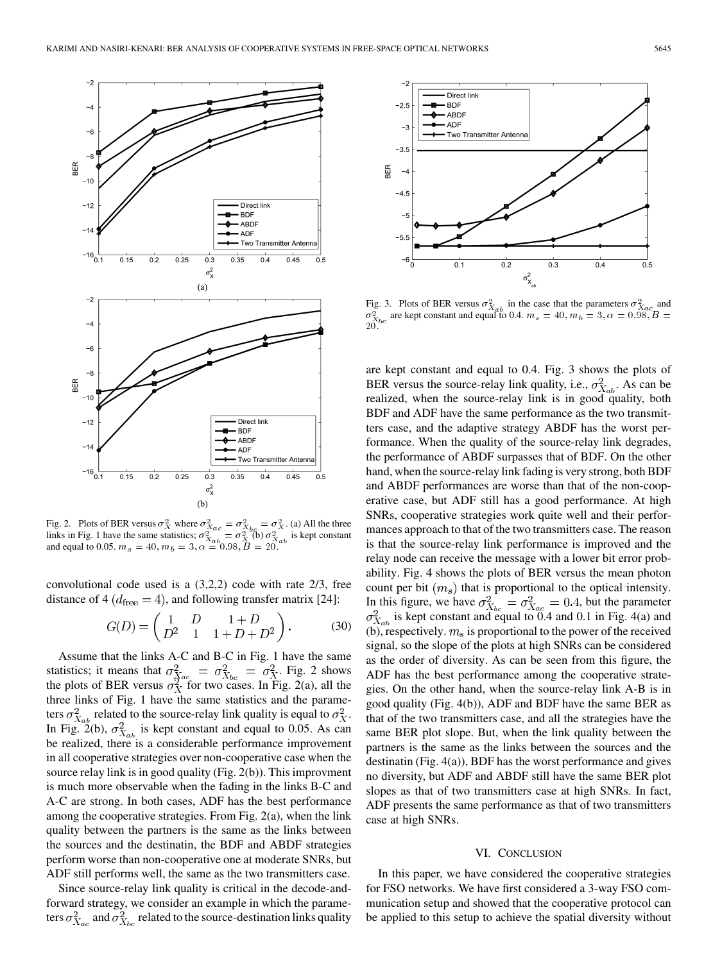

Fig. 2. Plots of BER versus  $\sigma_X^2$  where  $\sigma_{X_{\alpha\alpha}}^2 = \sigma_{X_{\alpha\alpha}}^2 = \sigma_X^2$ . (a) All the three links in Fig. 1 have the same statistics;  $\sigma_{X_{-k}}^{2} = \sigma_X^{200}$   $\sigma_{X_{-k}}^{2}$  is kept constant and equal to 0.05.  $m_s = 40, m_b = 3, \alpha = 0.98, B = 20.$ 

convolutional code used is a (3,2,2) code with rate 2/3, free distance of 4 ( $d_{\text{free}} = 4$ ), and following transfer matrix [24]:

$$
G(D) = \begin{pmatrix} 1 & D & 1+D \\ D^2 & 1 & 1+D+D^2 \end{pmatrix}.
$$
 (30)

Assume that the links A-C and B-C in Fig. 1 have the same statistics; it means that  $\sigma_{X_{\alpha\alpha}}^2 = \sigma_{X_{\alpha\alpha}}^2 = \sigma_X^2$ . Fig. 2 shows the plots of BER versus  $\sigma_X^2$  for two cases. In Fig. 2(a), all the three links of Fig. 1 have the same statistics and the parameters  $\sigma_{X_{ab}}^2$  related to the source-relay link quality is equal to  $\sigma_X^2$ . In Fig. 2(b),  $\sigma_{X_{ab}}^2$  is kept constant and equal to 0.05. As can be realized, there is a considerable performance improvement in all cooperative strategies over non-cooperative case when the source relay link is in good quality (Fig. 2(b)). This improvment is much more observable when the fading in the links B-C and A-C are strong. In both cases, ADF has the best performance among the cooperative strategies. From Fig. 2(a), when the link quality between the partners is the same as the links between the sources and the destinatin, the BDF and ABDF strategies perform worse than non-cooperative one at moderate SNRs, but ADF still performs well, the same as the two transmitters case.

Since source-relay link quality is critical in the decode-andforward strategy, we consider an example in which the parameters  $\sigma_{X_{bc}}^2$  and  $\sigma_{X_{bc}}^2$  related to the source-destination links quality



Fig. 3. Plots of BER versus  $\sigma_{X_{ab}}^2$  in the case that the parameters  $\sigma_{X_{ac}}^2$  and  $\sigma_{X_L}^2$  are kept constant and equal to 0.4.  $m_s = 40, m_b = 3, \alpha = 0.98, B =$  $2\hat{0}$ .

are kept constant and equal to 0.4. Fig. 3 shows the plots of BER versus the source-relay link quality, i.e.,  $\sigma_{X_{ab}}^2$ . As can be realized, when the source-relay link is in good quality, both BDF and ADF have the same performance as the two transmitters case, and the adaptive strategy ABDF has the worst performance. When the quality of the source-relay link degrades, the performance of ABDF surpasses that of BDF. On the other hand, when the source-relay link fading is very strong, both BDF and ABDF performances are worse than that of the non-cooperative case, but ADF still has a good performance. At high SNRs, cooperative strategies work quite well and their performances approach to that of the two transmitters case. The reason is that the source-relay link performance is improved and the relay node can receive the message with a lower bit error probability. Fig. 4 shows the plots of BER versus the mean photon count per bit  $(m_s)$  that is proportional to the optical intensity. In this figure, we have  $\sigma_{X_{12}}^2 = \sigma_{X_{23}}^2 = 0.4$ , but the parameter is kept constant and equal to 0.4 and 0.1 in Fig. 4(a) and (b), respectively.  $m_s$  is proportional to the power of the received signal, so the slope of the plots at high SNRs can be considered as the order of diversity. As can be seen from this figure, the ADF has the best performance among the cooperative strategies. On the other hand, when the source-relay link A-B is in good quality (Fig. 4(b)), ADF and BDF have the same BER as that of the two transmitters case, and all the strategies have the same BER plot slope. But, when the link quality between the partners is the same as the links between the sources and the destinatin (Fig. 4(a)), BDF has the worst performance and gives no diversity, but ADF and ABDF still have the same BER plot slopes as that of two transmitters case at high SNRs. In fact, ADF presents the same performance as that of two transmitters case at high SNRs.

#### VI. CONCLUSION

In this paper, we have considered the cooperative strategies for FSO networks. We have first considered a 3-way FSO communication setup and showed that the cooperative protocol can be applied to this setup to achieve the spatial diversity without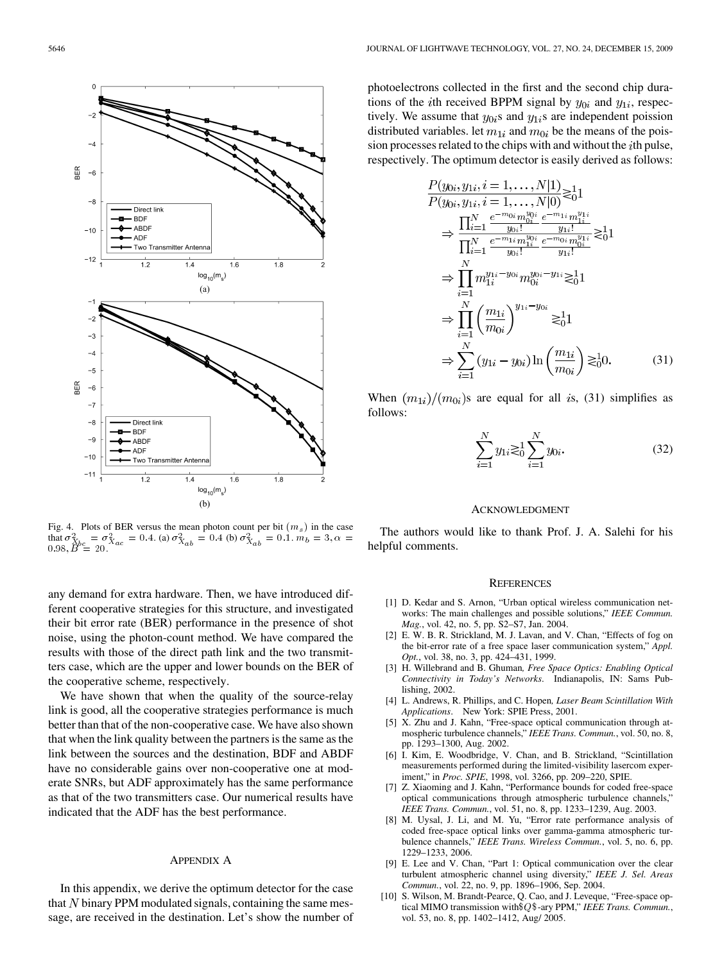

Fig. 4. Plots of BER versus the mean photon count per bit  $(m<sub>s</sub>)$  in the case that  $\sigma_{X_{b,c}}^2 = \sigma_{X_{a,c}}^2 = 0.4$ . (a)  $\sigma_{X_{a,b}}^2 = 0.4$  (b)  $\sigma_{X_{a,b}}^2 = 0.1$ .  $m_b = 3$ ,  $\alpha =$  $0.98, B^{\circ} = 20.$ 

any demand for extra hardware. Then, we have introduced different cooperative strategies for this structure, and investigated their bit error rate (BER) performance in the presence of shot noise, using the photon-count method. We have compared the results with those of the direct path link and the two transmitters case, which are the upper and lower bounds on the BER of the cooperative scheme, respectively.

We have shown that when the quality of the source-relay link is good, all the cooperative strategies performance is much better than that of the non-cooperative case. We have also shown that when the link quality between the partners is the same as the link between the sources and the destination, BDF and ABDF have no considerable gains over non-cooperative one at moderate SNRs, but ADF approximately has the same performance as that of the two transmitters case. Our numerical results have indicated that the ADF has the best performance.

## APPENDIX A

In this appendix, we derive the optimum detector for the case that N binary PPM modulated signals, containing the same message, are received in the destination. Let's show the number of photoelectrons collected in the first and the second chip durations of the *i*th received BPPM signal by  $y_{0i}$  and  $y_{1i}$ , respectively. We assume that  $y_{0i}$ s and  $y_{1i}$ s are independent poission distributed variables. let  $m_{1i}$  and  $m_{0i}$  be the means of the poission processes related to the chips with and without the  $i$ th pulse, respectively. The optimum detector is easily derived as follows:

$$
\frac{P(y_{0i}, y_{1i}, i = 1, ..., N|1)}{P(y_{0i}, y_{1i}, i = 1, ..., N|0)} \geq 1
$$
\n
$$
\Rightarrow \frac{\prod_{i=1}^{N} \frac{e^{-m_0 i m_{0i}^{y_{0i}}}}{e^{-m_1 i} m_{1i}^{y_{1i}}}}{\prod_{i=1}^{N} \frac{e^{-m_1 i m_{1i}^{y_{1i}}}}{y_{0i}!} \frac{e^{-m_0 i m_{0i}^{y_{1i}}}}{y_{1i}!} \geq 1
$$
\n
$$
\Rightarrow \prod_{i=1}^{N} m_{1i}^{y_{1i} - y_{0i}} m_{0i}^{y_{0i} - y_{1i}} \geq 1
$$
\n
$$
\Rightarrow \prod_{i=1}^{N} \left(\frac{m_{1i}}{m_{0i}}\right)^{y_{1i} - y_{0i}} \geq 1
$$
\n
$$
\Rightarrow \sum_{i=1}^{N} (y_{1i} - y_{0i}) \ln \left(\frac{m_{1i}}{m_{0i}}\right) \geq 1
$$
\n(31)

When  $(m_{1i})/(m_{0i})$ s are equal for all is, (31) simplifies as follows:

$$
\sum_{i=1}^{N} y_{1i} \gtrsim_{0}^{1} \sum_{i=1}^{N} y_{0i}.
$$
 (32)

#### ACKNOWLEDGMENT

The authors would like to thank Prof. J. A. Salehi for his helpful comments.

#### **REFERENCES**

- [1] D. Kedar and S. Arnon, "Urban optical wireless communication networks: The main challenges and possible solutions," *IEEE Commun. Mag.*, vol. 42, no. 5, pp. S2–S7, Jan. 2004.
- [2] E. W. B. R. Strickland, M. J. Lavan, and V. Chan, "Effects of fog on the bit-error rate of a free space laser communication system," *Appl. Opt.*, vol. 38, no. 3, pp. 424–431, 1999.
- [3] H. Willebrand and B. Ghuman*, Free Space Optics: Enabling Optical Connectivity in Today's Networks*. Indianapolis, IN: Sams Publishing, 2002.
- [4] L. Andrews, R. Phillips, and C. Hopen*, Laser Beam Scintillation With Applications*. New York: SPIE Press, 2001.
- [5] X. Zhu and J. Kahn, "Free-space optical communication through atmospheric turbulence channels," *IEEE Trans. Commun.*, vol. 50, no. 8, pp. 1293–1300, Aug. 2002.
- [6] I. Kim, E. Woodbridge, V. Chan, and B. Strickland, "Scintillation measurements performed during the limited-visibility lasercom experiment," in *Proc. SPIE*, 1998, vol. 3266, pp. 209–220, SPIE.
- [7] Z. Xiaoming and J. Kahn, "Performance bounds for coded free-space optical communications through atmospheric turbulence channels," *IEEE Trans. Commun.*, vol. 51, no. 8, pp. 1233–1239, Aug. 2003.
- [8] M. Uysal, J. Li, and M. Yu, "Error rate performance analysis of coded free-space optical links over gamma-gamma atmospheric turbulence channels," *IEEE Trans. Wireless Commun.*, vol. 5, no. 6, pp. 1229–1233, 2006.
- [9] E. Lee and V. Chan, "Part 1: Optical communication over the clear turbulent atmospheric channel using diversity," *IEEE J. Sel. Areas Commun.*, vol. 22, no. 9, pp. 1896–1906, Sep. 2004.
- [10] S. Wilson, M. Brandt-Pearce, Q. Cao, and J. Leveque, "Free-space optical MIMO transmission with  $Q$ \$-ary PPM," *IEEE Trans. Commun.*, vol. 53, no. 8, pp. 1402–1412, Aug/ 2005.